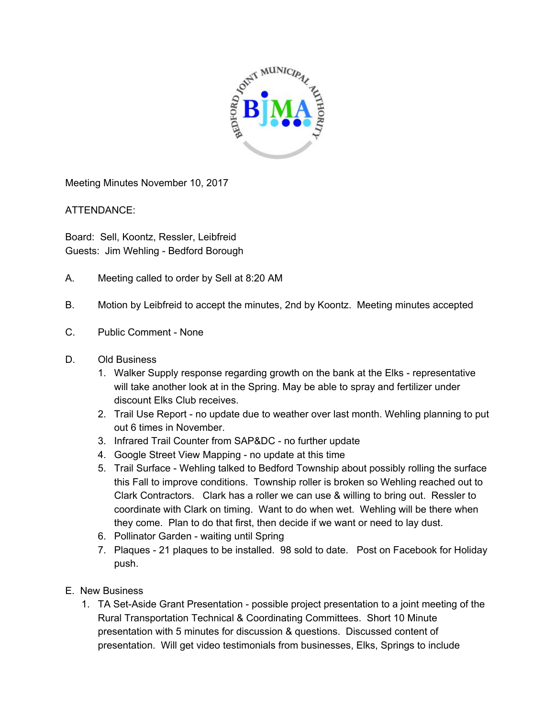

Meeting Minutes November 10, 2017

ATTENDANCE:

Board: Sell, Koontz, Ressler, Leibfreid Guests: Jim Wehling - Bedford Borough

- A. Meeting called to order by Sell at 8:20 AM
- B. Motion by Leibfreid to accept the minutes, 2nd by Koontz. Meeting minutes accepted
- C. Public Comment None
- D. Old Business
	- 1. Walker Supply response regarding growth on the bank at the Elks representative will take another look at in the Spring. May be able to spray and fertilizer under discount Elks Club receives.
	- 2. Trail Use Report no update due to weather over last month. Wehling planning to put out 6 times in November.
	- 3. Infrared Trail Counter from SAP&DC no further update
	- 4. Google Street View Mapping no update at this time
	- 5. Trail Surface Wehling talked to Bedford Township about possibly rolling the surface this Fall to improve conditions. Township roller is broken so Wehling reached out to Clark Contractors. Clark has a roller we can use & willing to bring out. Ressler to coordinate with Clark on timing. Want to do when wet. Wehling will be there when they come. Plan to do that first, then decide if we want or need to lay dust.
	- 6. Pollinator Garden waiting until Spring
	- 7. Plaques 21 plaques to be installed. 98 sold to date. Post on Facebook for Holiday push.
- E. New Business
	- 1. TA Set-Aside Grant Presentation possible project presentation to a joint meeting of the Rural Transportation Technical & Coordinating Committees. Short 10 Minute presentation with 5 minutes for discussion & questions. Discussed content of presentation. Will get video testimonials from businesses, Elks, Springs to include